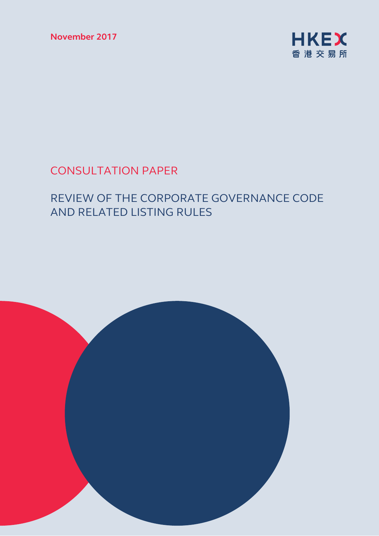**November 2017** 



# CONSULTATION PAPER

# REVIEW OF THE CORPORATE GOVERNANCE CODE AND RELATED LISTING RULES

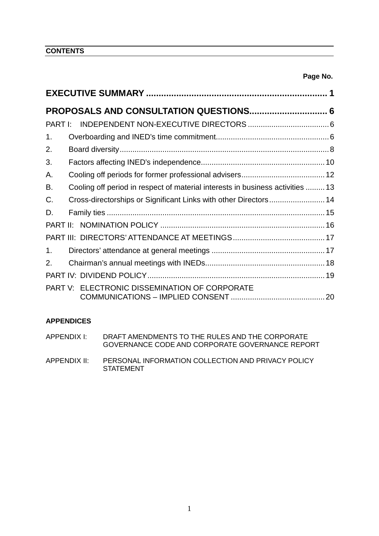**CONTENTS**

| 1.             |                                                                                |  |  |  |
|----------------|--------------------------------------------------------------------------------|--|--|--|
| 2.             |                                                                                |  |  |  |
| 3.             |                                                                                |  |  |  |
| Α.             |                                                                                |  |  |  |
| В.             | Cooling off period in respect of material interests in business activities  13 |  |  |  |
| C.             | Cross-directorships or Significant Links with other Directors 14               |  |  |  |
| D.             |                                                                                |  |  |  |
|                |                                                                                |  |  |  |
|                |                                                                                |  |  |  |
| 1 <sub>1</sub> |                                                                                |  |  |  |
| 2.             |                                                                                |  |  |  |
|                |                                                                                |  |  |  |
|                | PART V: ELECTRONIC DISSEMINATION OF CORPORATE                                  |  |  |  |

# **APPENDICES**

| APPENDIX I:  | DRAFT AMENDMENTS TO THE RULES AND THE CORPORATE<br>GOVERNANCE CODE AND CORPORATE GOVERNANCE REPORT |
|--------------|----------------------------------------------------------------------------------------------------|
| APPENDIX II: | PERSONAL INFORMATION COLLECTION AND PRIVACY POLICY<br>STATEMENT                                    |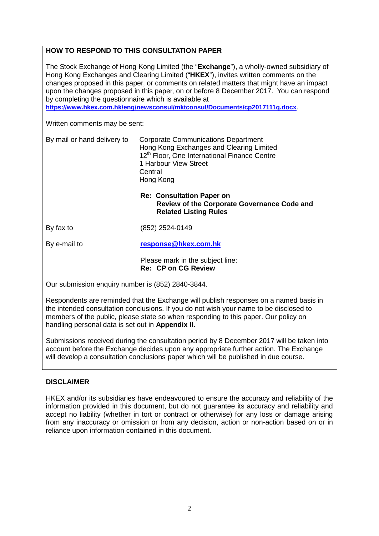# **HOW TO RESPOND TO THIS CONSULTATION PAPER**

The Stock Exchange of Hong Kong Limited (the "**Exchange**"), a wholly-owned subsidiary of Hong Kong Exchanges and Clearing Limited ("**HKEX**"), invites written comments on the changes proposed in this paper, or comments on related matters that might have an impact upon the changes proposed in this paper, on or before 8 December 2017. You can respond by completing the questionnaire which is available at

**<https://www.hkex.com.hk/eng/newsconsul/mktconsul/Documents/cp2017111q.docx>**.

Written comments may be sent:

| By mail or hand delivery to | <b>Corporate Communications Department</b>               |
|-----------------------------|----------------------------------------------------------|
|                             | Hong Kong Exchanges and Clearing Limited                 |
|                             | 12 <sup>th</sup> Floor, One International Finance Centre |
|                             | 1 Harbour View Street                                    |
|                             | Central                                                  |
|                             | Hong Kong                                                |

### **Re: Consultation Paper on Review of the Corporate Governance Code and Related Listing Rules**

By fax to (852) 2524-0149

By e-mail to **[response@hkex.com.hk](mailto:response@hkex.com.hk)**

Please mark in the subject line: **Re: CP on CG Review**

Our submission enquiry number is (852) 2840-3844.

Respondents are reminded that the Exchange will publish responses on a named basis in the intended consultation conclusions. If you do not wish your name to be disclosed to members of the public, please state so when responding to this paper. Our policy on handling personal data is set out in **Appendix II**.

Submissions received during the consultation period by 8 December 2017 will be taken into account before the Exchange decides upon any appropriate further action. The Exchange will develop a consultation conclusions paper which will be published in due course.

## **DISCLAIMER**

HKEX and/or its subsidiaries have endeavoured to ensure the accuracy and reliability of the information provided in this document, but do not guarantee its accuracy and reliability and accept no liability (whether in tort or contract or otherwise) for any loss or damage arising from any inaccuracy or omission or from any decision, action or non-action based on or in reliance upon information contained in this document.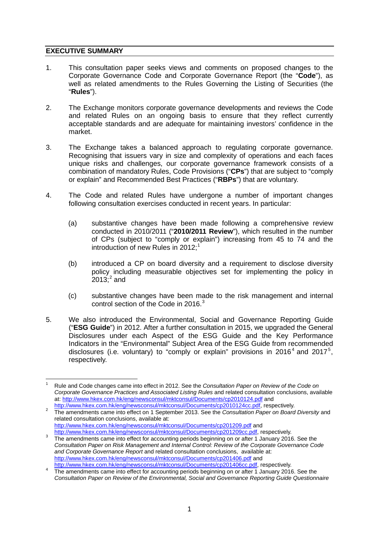# **EXECUTIVE SUMMARY**

- 1. This consultation paper seeks views and comments on proposed changes to the Corporate Governance Code and Corporate Governance Report (the "**Code**"), as well as related amendments to the Rules Governing the Listing of Securities (the "**Rules**").
- 2. The Exchange monitors corporate governance developments and reviews the Code and related Rules on an ongoing basis to ensure that they reflect currently acceptable standards and are adequate for maintaining investors' confidence in the market.
- 3. The Exchange takes a balanced approach to regulating corporate governance. Recognising that issuers vary in size and complexity of operations and each faces unique risks and challenges, our corporate governance framework consists of a combination of mandatory Rules, Code Provisions ("**CPs**") that are subject to "comply or explain" and Recommended Best Practices ("**RBPs**") that are voluntary.
- 4. The Code and related Rules have undergone a number of important changes following consultation exercises conducted in recent years. In particular:
	- (a) substantive changes have been made following a comprehensive review conducted in 2010/2011 ("**2010/2011 Review**"), which resulted in the number of CPs (subject to "comply or explain") increasing from 45 to 74 and the introduction of new Rules in 20[1](#page-3-0)2;<sup>1</sup>
	- (b) introduced a CP on board diversity and a requirement to disclose diversity policy including measurable objectives set for implementing the policy in  $2013; ^2$  $2013; ^2$  and
	- (c) substantive changes have been made to the risk management and internal control section of the Code in 2016.<sup>[3](#page-3-2)</sup>
- 5. We also introduced the Environmental, Social and Governance Reporting Guide ("**ESG Guide**") in 2012. After a further consultation in 2015, we upgraded the General Disclosures under each Aspect of the ESG Guide and the Key Performance Indicators in the "Environmental" Subject Area of the ESG Guide from recommended disclosures (i.e. voluntary) to "comply or explain" provisions in 2016<sup>[4](#page-3-3)</sup> and 2017<sup>[5](#page-3-4)</sup>, respectively.

<span id="page-3-4"></span><span id="page-3-0"></span><sup>1</sup> Rule and Code changes came into effect in 2012. See the *Consultation Paper on Review of the Code on Corporate Governance Practices and Associated Listing Rules* and related consultation conclusions, available at:<http://www.hkex.com.hk/eng/newsconsul/mktconsul/Documents/cp2010124.pdf> and<br>http://www.hkex.com.hk/eng/newsconsul/mktconsul/Documents/cp2010124cc.pdf, respectively.

<span id="page-3-1"></span>The amendments came into effect on 1 September 2013. See the *Consultation Paper on Board Diversity* and related consultation conclusions, available at: <http://www.hkex.com.hk/eng/newsconsul/mktconsul/Documents/cp201209.pdf> and<br>http://www.hkex.com.hk/eng/newsconsul/mktconsul/Documents/cp201209cc.pdf, respectively.

<span id="page-3-2"></span>The amendments came into effect for accounting periods beginning on or after 1 January 2016. See the *Consultation Paper on Risk Management and Internal Control: Review of the Corporate Governance Code and Corporate Governance Report* and related consultation conclusions, available at: <http://www.hkex.com.hk/eng/newsconsul/mktconsul/Documents/cp201406.pdf> and

<span id="page-3-3"></span>[http://www.hkex.com.hk/eng/newsconsul/mktconsul/Documents/cp201406cc.pdf,](http://www.hkex.com.hk/eng/newsconsul/mktconsul/Documents/cp201406cc.pdf) respectively. The amendments came into effect for accounting periods beginning on or after 1 January 2016. See the *Consultation Paper on Review of the Environmental, Social and Governance Reporting Guide Questionnaire*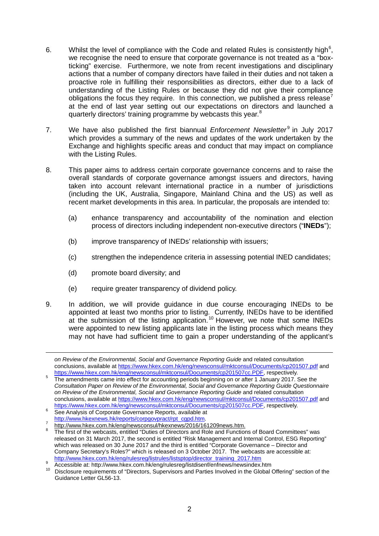- [6](#page-4-0). Whilst the level of compliance with the Code and related Rules is consistently high<sup>6</sup>, we recognise the need to ensure that corporate governance is not treated as a "boxticking" exercise. Furthermore, we note from recent investigations and disciplinary actions that a number of company directors have failed in their duties and not taken a proactive role in fulfilling their responsibilities as directors, either due to a lack of understanding of the Listing Rules or because they did not give their compliance obligations the focus they require. In this connection, we published a press release' at the end of last year setting out our expectations on directors and launched a quarterly directors' training programme by webcasts this year.<sup>[8](#page-4-2)</sup>
- 7. We have also published the first biannual *Enforcement Newsletter*<sup>[9](#page-4-3)</sup> in July 2017 which provides a summary of the news and updates of the work undertaken by the Exchange and highlights specific areas and conduct that may impact on compliance with the Listing Rules.
- 8. This paper aims to address certain corporate governance concerns and to raise the overall standards of corporate governance amongst issuers and directors, having taken into account relevant international practice in a number of jurisdictions (including the UK, Australia, Singapore, Mainland China and the US) as well as recent market developments in this area. In particular, the proposals are intended to:
	- (a) enhance transparency and accountability of the nomination and election process of directors including independent non-executive directors ("**INEDs**");
	- (b) improve transparency of INEDs' relationship with issuers;
	- (c) strengthen the independence criteria in assessing potential INED candidates;
	- (d) promote board diversity; and

-

- (e) require greater transparency of dividend policy.
- 9. In addition, we will provide guidance in due course encouraging INEDs to be appointed at least two months prior to listing. Currently, INEDs have to be identified at the submission of the listing application.[10](#page-4-4) However, we note that some INEDs were appointed to new listing applicants late in the listing process which means they may not have had sufficient time to gain a proper understanding of the applicant's

*on Review of the Environmental, Social and Governance Reporting Guide* and related consultation conclusions, available a[t https://www.hkex.com.hk/eng/newsconsul/mktconsul/Documents/cp201507.pdf](https://www.hkex.com.hk/eng/newsconsul/mktconsul/Documents/cp201507.pdf) and<br>https://www.hkex.com.hk/eng/newsconsul/mktconsul/Documents/cp201507cc.PDF, respectively.

The amendments came into effect for accounting periods beginning on or after 1 January 2017. See the *Consultation Paper on Review of the Environmental, Social and Governance Reporting Guide Questionnaire on Review of the Environmental, Social and Governance Reporting Guide* and related consultation conclusions, available a[t https://www.hkex.com.hk/eng/newsconsul/mktconsul/Documents/cp201507.pdf](https://www.hkex.com.hk/eng/newsconsul/mktconsul/Documents/cp201507.pdf) and

<span id="page-4-0"></span>[https://www.hkex.com.hk/eng/newsconsul/mktconsul/Documents/cp201507cc.PDF,](https://www.hkex.com.hk/eng/newsconsul/mktconsul/Documents/cp201507cc.PDF) respectively.<br>
See Analysis of Corporate Governance Reports, available at<br>
http://www.hkexnews.hk/reports/corpgovpract/rpt\_cgpd.htm.

<span id="page-4-2"></span><span id="page-4-1"></span>http://www.hkex.com.hk/eng/newsconsul/hkexnews/2016/161209news.htm.<br><sup>8</sup> The first of the webcasts, entitled "Duties of Directors and Role and Functions of Board Committees" was released on 31 March 2017, the second is entitled "Risk Management and Internal Control, ESG Reporting" which was released on 30 June 2017 and the third is entitled "Corporate Governance – Director and Company Secretary's Roles?" which is released on 3 October 2017. The webcasts are accessible at:<br>http://www.hkex.com.hk/eng/rulesreg/listrules/listsptop/director\_training\_2017.htm

<span id="page-4-4"></span><span id="page-4-3"></span>Accessible at: http://www.hkex.com.hk/eng/rulesreg/listdisenf/enfnews/newsindex.htm<br>10 Disclosure requirements of "Directors, Supervisors and Parties Involved in the Global Offering" section of the Guidance Letter GL56-13.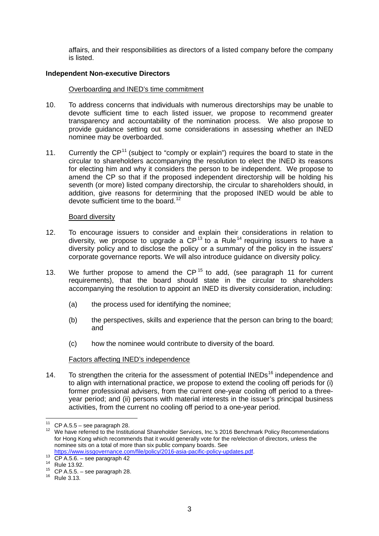affairs, and their responsibilities as directors of a listed company before the company is listed.

#### **Independent Non-executive Directors**

#### Overboarding and INED's time commitment

- 10. To address concerns that individuals with numerous directorships may be unable to devote sufficient time to each listed issuer, we propose to recommend greater transparency and accountability of the nomination process. We also propose to provide guidance setting out some considerations in assessing whether an INED nominee may be overboarded.
- <span id="page-5-0"></span>[11](#page-5-1). Currently the  $\text{CP}^{11}$  (subject to "comply or explain") requires the board to state in the circular to shareholders accompanying the resolution to elect the INED its reasons for electing him and why it considers the person to be independent. We propose to amend the CP so that if the proposed independent directorship will be holding his seventh (or more) listed company directorship, the circular to shareholders should, in addition, give reasons for determining that the proposed INED would be able to devote sufficient time to the board.<sup>[12](#page-5-2)</sup>

#### <span id="page-5-7"></span>Board diversity

- 12. To encourage issuers to consider and explain their considerations in relation to diversity, we propose to upgrade a  $\mathsf{CP}^{13}$  $\mathsf{CP}^{13}$  $\mathsf{CP}^{13}$  to a Rule<sup>[14](#page-5-4)</sup> requiring issuers to have a diversity policy and to disclose the policy or a summary of the policy in the issuers' corporate governance reports. We will also introduce guidance on diversity policy.
- 13. We further propose to amend the  $CP<sup>15</sup>$  $CP<sup>15</sup>$  $CP<sup>15</sup>$  to add, (see paragraph [11](#page-5-0) for current requirements), that the board should state in the circular to shareholders accompanying the resolution to appoint an INED its diversity consideration, including:
	- (a) the process used for identifying the nominee;
	- (b) the perspectives, skills and experience that the person can bring to the board; and
	- (c) how the nominee would contribute to diversity of the board.

#### Factors affecting INED's independence

14. To strengthen the criteria for the assessment of potential INEDs<sup>[16](#page-5-6)</sup> independence and to align with international practice, we propose to extend the cooling off periods for (i) former professional advisers, from the current one-year cooling off period to a threeyear period; and (ii) persons with material interests in the issuer's principal business activities, from the current no cooling off period to a one-year period.

<span id="page-5-2"></span><span id="page-5-1"></span><sup>&</sup>lt;sup>11</sup> CP A.5.5 – see paragraph [28.](#page-8-0)<br><sup>12</sup> We have referred to the Institutional Shareholder Services, Inc.'s 2016 Benchmark Policy Recommendations for Hong Kong which recommends that it would generally vote for the re/election of directors, unless the nominee sits on a total of more than six public company boards. See

<span id="page-5-3"></span>[https://www.issgovernance.com/file/policy/2016-asia-pacific-policy-updates.pdf.](https://www.issgovernance.com/file/policy/2016-asia-pacific-policy-updates.pdf)<br>
<sup>13</sup> CP A.5.6. – see paragraph [42](#page-10-0)<br>
<sup>15</sup> Rule 13.92.<br>
<sup>16</sup> Rule 3.13.

<span id="page-5-4"></span>

<span id="page-5-5"></span>

<span id="page-5-6"></span>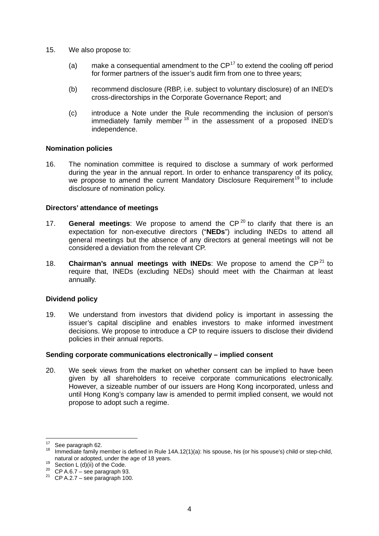- 15. We also propose to:
	- (a) make a consequential amendment to the  $\mathsf{CP}^{17}$  $\mathsf{CP}^{17}$  $\mathsf{CP}^{17}$  to extend the cooling off period for former partners of the issuer's audit firm from one to three years;
	- (b) recommend disclosure (RBP, i.e. subject to voluntary disclosure) of an INED's cross-directorships in the Corporate Governance Report; and
	- (c) introduce a Note under the Rule recommending the inclusion of person's immediately family member<sup>[18](#page-6-1)</sup> in the assessment of a proposed INED's independence.

#### **Nomination policies**

16. The nomination committee is required to disclose a summary of work performed during the year in the annual report. In order to enhance transparency of its policy, we propose to amend the current Mandatory Disclosure Requirement<sup>[19](#page-6-2)</sup> to include disclosure of nomination policy.

#### **Directors' attendance of meetings**

- 17. **General meetings**: We propose to amend the CP<sup>[20](#page-6-3)</sup> to clarify that there is an expectation for non-executive directors ("**NEDs**") including INEDs to attend all general meetings but the absence of any directors at general meetings will not be considered a deviation from the relevant CP.
- 18. **Chairman's annual meetings with INEDs:** We propose to amend the  $\mathbb{CP}^{21}$  $\mathbb{CP}^{21}$  $\mathbb{CP}^{21}$  to require that, INEDs (excluding NEDs) should meet with the Chairman at least annually.

## **Dividend policy**

19. We understand from investors that dividend policy is important in assessing the issuer's capital discipline and enables investors to make informed investment decisions. We propose to introduce a CP to require issuers to disclose their dividend policies in their annual reports.

#### **Sending corporate communications electronically – implied consent**

20. We seek views from the market on whether consent can be implied to have been given by all shareholders to receive corporate communications electronically. However, a sizeable number of our issuers are Hong Kong incorporated, unless and until Hong Kong's company law is amended to permit implied consent, we would not propose to adopt such a regime.

<span id="page-6-0"></span><sup>&</sup>lt;sup>17</sup> See paragraph [62.](#page-14-0)<br><sup>18</sup> Immediate family member is defined in Rule 14A.12(1)(a): his spouse, his (or his spouse's) child or step-child, natural or adopted, under the age of 18 years.

<span id="page-6-2"></span><span id="page-6-1"></span>natural or adopted, under the age of 19 Section L (d)(ii) of the Code.<br>
<sup>20</sup> CP A.6.7 – see paragraph [93.](#page-19-0)<br>
<sup>21</sup> CP A.2.7 – see paragraph [100.](#page-20-0)

<span id="page-6-3"></span>

<span id="page-6-4"></span>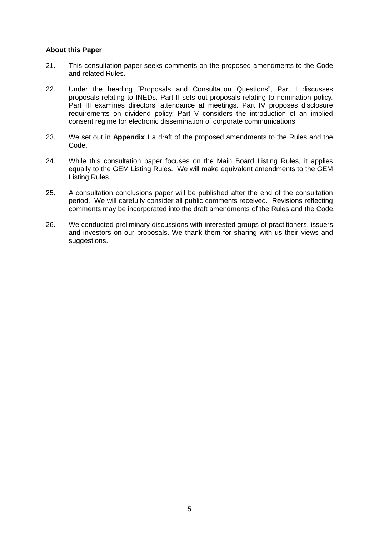## **About this Paper**

- 21. This consultation paper seeks comments on the proposed amendments to the Code and related Rules.
- 22. Under the heading "Proposals and Consultation Questions", Part I discusses proposals relating to INEDs. Part II sets out proposals relating to nomination policy. Part III examines directors' attendance at meetings. Part IV proposes disclosure requirements on dividend policy. Part V considers the introduction of an implied consent regime for electronic dissemination of corporate communications.
- 23. We set out in **Appendix I** a draft of the proposed amendments to the Rules and the Code.
- 24. While this consultation paper focuses on the Main Board Listing Rules, it applies equally to the GEM Listing Rules. We will make equivalent amendments to the GEM Listing Rules.
- 25. A consultation conclusions paper will be published after the end of the consultation period. We will carefully consider all public comments received. Revisions reflecting comments may be incorporated into the draft amendments of the Rules and the Code.
- 26. We conducted preliminary discussions with interested groups of practitioners, issuers and investors on our proposals. We thank them for sharing with us their views and suggestions.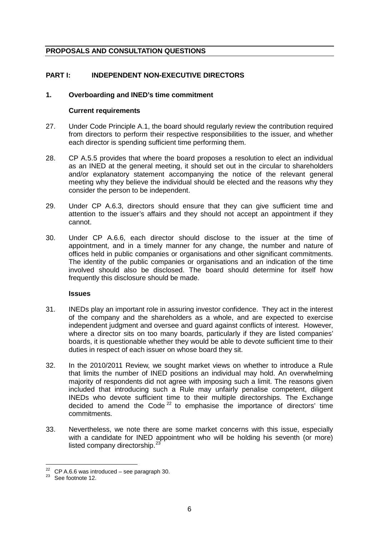# **PROPOSALS AND CONSULTATION QUESTIONS**

# **PART I: INDEPENDENT NON-EXECUTIVE DIRECTORS**

### **1. Overboarding and INED's time commitment**

#### **Current requirements**

- 27. Under Code Principle A.1, the board should regularly review the contribution required from directors to perform their respective responsibilities to the issuer, and whether each director is spending sufficient time performing them.
- <span id="page-8-0"></span>28. CP A.5.5 provides that where the board proposes a resolution to elect an individual as an INED at the general meeting, it should set out in the circular to shareholders and/or explanatory statement accompanying the notice of the relevant general meeting why they believe the individual should be elected and the reasons why they consider the person to be independent.
- 29. Under CP A.6.3, directors should ensure that they can give sufficient time and attention to the issuer's affairs and they should not accept an appointment if they cannot.
- <span id="page-8-1"></span>30. Under CP A.6.6, each director should disclose to the issuer at the time of appointment, and in a timely manner for any change, the number and nature of offices held in public companies or organisations and other significant commitments. The identity of the public companies or organisations and an indication of the time involved should also be disclosed. The board should determine for itself how frequently this disclosure should be made.

#### **Issues**

- 31. INEDs play an important role in assuring investor confidence. They act in the interest of the company and the shareholders as a whole, and are expected to exercise independent judgment and oversee and guard against conflicts of interest. However, where a director sits on too many boards, particularly if they are listed companies' boards, it is questionable whether they would be able to devote sufficient time to their duties in respect of each issuer on whose board they sit.
- 32. In the 2010/2011 Review, we sought market views on whether to introduce a Rule that limits the number of INED positions an individual may hold. An overwhelming majority of respondents did not agree with imposing such a limit. The reasons given included that introducing such a Rule may unfairly penalise competent, diligent INEDs who devote sufficient time to their multiple directorships. The Exchange decided to amend the Code<sup>[22](#page-8-2)</sup> to emphasise the importance of directors' time commitments.
- 33. Nevertheless, we note there are some market concerns with this issue, especially with a candidate for INED appointment who will be holding his seventh (or more) listed company directorship.<sup>[23](#page-8-3)</sup>

<span id="page-8-3"></span><span id="page-8-2"></span><sup>&</sup>lt;sup>22</sup> CP A.6.6 was introduced – see paragraph [30.](#page-8-1)<br><sup>23</sup> See footnote [12.](#page-5-7)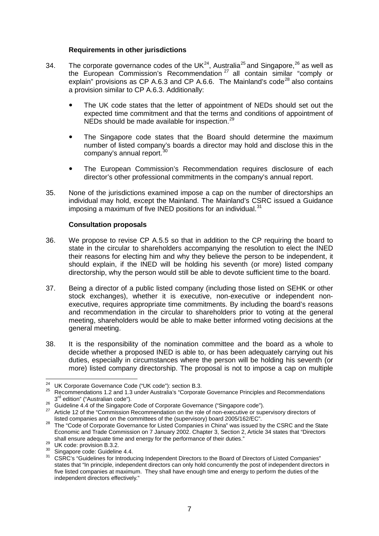### **Requirements in other jurisdictions**

- 34. The corporate governance codes of the UK<sup>24</sup>, Australia<sup>[25](#page-9-1)</sup> and Singapore,<sup>[26](#page-9-2)</sup> as well as the European Commission's Recommendation<sup>[27](#page-9-3)</sup> all contain similar "comply or explain" provisions as CP A.6.3 and CP A.6.6. The Mainland's code<sup>[28](#page-9-4)</sup> also contains a provision similar to CP A.6.3. Additionally:
	- The UK code states that the letter of appointment of NEDs should set out the expected time commitment and that the terms and conditions of appointment of NEDs should be made available for inspection.<sup>[29](#page-9-5)</sup>
	- The Singapore code states that the Board should determine the maximum number of listed company's boards a director may hold and disclose this in the company's annual report.<sup>[30](#page-9-6)</sup>
	- The European Commission's Recommendation requires disclosure of each director's other professional commitments in the company's annual report.
- 35. None of the jurisdictions examined impose a cap on the number of directorships an individual may hold, except the Mainland. The Mainland's CSRC issued a Guidance imposing a maximum of five INED positions for an individual. $31$

#### **Consultation proposals**

- <span id="page-9-8"></span>36. We propose to revise CP A.5.5 so that in addition to the CP requiring the board to state in the circular to shareholders accompanying the resolution to elect the INED their reasons for electing him and why they believe the person to be independent, it should explain, if the INED will be holding his seventh (or more) listed company directorship, why the person would still be able to devote sufficient time to the board.
- 37. Being a director of a public listed company (including those listed on SEHK or other stock exchanges), whether it is executive, non-executive or independent nonexecutive, requires appropriate time commitments. By including the board's reasons and recommendation in the circular to shareholders prior to voting at the general meeting, shareholders would be able to make better informed voting decisions at the general meeting.
- 38. It is the responsibility of the nomination committee and the board as a whole to decide whether a proposed INED is able to, or has been adequately carrying out his duties, especially in circumstances where the person will be holding his seventh (or more) listed company directorship. The proposal is not to impose a cap on multiple

<span id="page-9-1"></span><span id="page-9-0"></span><sup>&</sup>lt;sup>24</sup> UK Corporate Governance Code ("UK code"): section B.3.<br><sup>25</sup> Recommendations 1.2 and 1.3 under Australia's "Corporate Governance Principles and Recommendations  $3^{rd}$  edition" ("Australian code").

<span id="page-9-2"></span><sup>&</sup>lt;sup>26</sup> Guideline 4.4 of the Singapore Code of Corporate Governance ("Singapore code").<br><sup>27</sup> Article 12 of the "Commission Recommendation on the role of non-executive or supervisory directors of<br>listed companies and on the co

<span id="page-9-4"></span><span id="page-9-3"></span>listed companies and on the committees of the (supervisory) board 28 The "Code of Corporate Governance for Listed Companies in China" was issued by the CSRC and the State Economic and Trade Commission on 7 January 2002. Chapter 3, Section 2, Article 34 states that "Directors shall ensure adequate time and energy for the performance of their duties."<br><sup>29</sup> UK code: provision B.3.2.<br><sup>30</sup> Singapore code: Guideline 4.4.<br><sup>31</sup> CSRC's "Guidelines for Introducing Independent Directors to the Board of D

<span id="page-9-5"></span>

<span id="page-9-7"></span><span id="page-9-6"></span>

states that "In principle, independent directors can only hold concurrently the post of independent directors in five listed companies at maximum. They shall have enough time and energy to perform the duties of the independent directors effectively."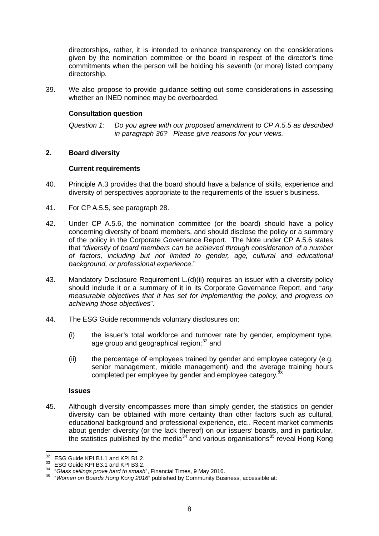directorships, rather, it is intended to enhance transparency on the considerations given by the nomination committee or the board in respect of the director's time commitments when the person will be holding his seventh (or more) listed company directorship.

39. We also propose to provide guidance setting out some considerations in assessing whether an INED nominee may be overboarded.

### **Consultation question**

*Question 1: Do you agree with our proposed amendment to CP A.5.5 as described in paragraph [36?](#page-9-8) Please give reasons for your views.*

#### **2. Board diversity**

#### **Current requirements**

- 40. Principle A.3 provides that the board should have a balance of skills, experience and diversity of perspectives appropriate to the requirements of the issuer's business.
- 41. For CP A.5.5, see paragraph [28.](#page-8-0)
- <span id="page-10-0"></span>42. Under CP A.5.6, the nomination committee (or the board) should have a policy concerning diversity of board members, and should disclose the policy or a summary of the policy in the Corporate Governance Report. The Note under CP A.5.6 states that "*diversity of board members can be achieved through consideration of a number of factors, including but not limited to gender, age, cultural and educational background, or professional experience.*"
- 43. Mandatory Disclosure Requirement L.(d)(ii) requires an issuer with a diversity policy should include it or a summary of it in its Corporate Governance Report, and "*any measurable objectives that it has set for implementing the policy, and progress on achieving those objectives*".
- 44. The ESG Guide recommends voluntary disclosures on:
	- (i) the issuer's total workforce and turnover rate by gender, employment type, age group and geographical region;<sup>[32](#page-10-1)</sup> and
	- (ii) the percentage of employees trained by gender and employee category (e.g. senior management, middle management) and the average training hours completed per employee by gender and employee category.<sup>3</sup>

#### **Issues**

45. Although diversity encompasses more than simply gender, the statistics on gender diversity can be obtained with more certainty than other factors such as cultural, educational background and professional experience, etc.. Recent market comments about gender diversity (or the lack thereof) on our issuers' boards, and in particular, the statistics published by the media<sup>[34](#page-10-3)</sup> and various organisations<sup>[35](#page-10-4)</sup> reveal Hong Kong

<span id="page-10-2"></span>

<span id="page-10-4"></span><span id="page-10-3"></span>

<span id="page-10-1"></span><sup>&</sup>lt;sup>32</sup> ESG Guide KPI B1.1 and KPI B1.2.<br><sup>33</sup> ESG Guide KPI B3.1 and KPI B3.2.<br><sup>34</sup> "Glass ceilings prove hard to smash", Financial Times, 9 May 2016.<br><sup>35</sup> "Women on Boards Hong Kong 2016" published by Community Business, ac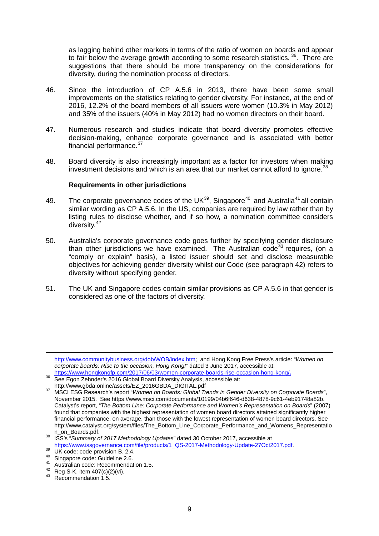as lagging behind other markets in terms of the ratio of women on boards and appear to fair below the average growth according to some research statistics.  $36$ . There are suggestions that there should be more transparency on the considerations for diversity, during the nomination process of directors.

- 46. Since the introduction of CP A.5.6 in 2013, there have been some small improvements on the statistics relating to gender diversity. For instance, at the end of 2016, 12.2% of the board members of all issuers were women (10.3% in May 2012) and 35% of the issuers (40% in May 2012) had no women directors on their board.
- 47. Numerous research and studies indicate that board diversity promotes effective decision-making, enhance corporate governance and is associated with better financial performance.<sup>[37](#page-11-1)</sup>
- 48. Board diversity is also increasingly important as a factor for investors when making investment decisions and which is an area that our market cannot afford to ignore.<sup>[38](#page-11-2)</sup>

#### **Requirements in other jurisdictions**

- 49. The corporate governance codes of the UK $^{39}$ , Singapore<sup>[40](#page-11-4)</sup> and Australia<sup>[41](#page-11-5)</sup> all contain similar wording as CP A.5.6. In the US, companies are required by law rather than by listing rules to disclose whether, and if so how, a nomination committee considers diversity.<sup>[42](#page-11-6)</sup>
- 50. Australia's corporate governance code goes further by specifying gender disclosure than other jurisdictions we have examined. The Australian code<sup> $43$ </sup> requires, (on a "comply or explain" basis), a listed issuer should set and disclose measurable objectives for achieving gender diversity whilst our Code (see paragraph [42\)](#page-10-0) refers to diversity without specifying gender.
- 51. The UK and Singapore codes contain similar provisions as CP A.5.6 in that gender is considered as one of the factors of diversity.

-

[http://www.communitybusiness.org/dob/WOB/index.htm;](http://www.communitybusiness.org/dob/WOB/index.htm) and Hong Kong Free Press's article: "*Women on corporate boards: Rise to the occasion, Hong Kong!"* dated 3 June 2017, accessible at:<br>https://www.hongkongfp.com/2017/06/03/women-corporate-boards-rise-occasion-hong-kong/.

<span id="page-11-0"></span><sup>111123.//</sup>www.hongist.com/2017/06/03/women-corporate-boards-rise-occupation-corporate-boards-<br>See Egon Zehnder's 2016 Global Board Diversity Analysis, accessible at:<br>http://www.gbda.online/assets/EZ\_2016GBDA\_DIGITAL.pdf

<span id="page-11-1"></span>http://www.gbda.online/assets/EZ\_2016GBD.Com/Ench/Ench/<br><sup>37</sup> MSCI ESG Research's report "*[Women on Boards: Global Trends in Gender Diversity on Corporate Boards](https://www.msci.com/documents/10199/04b6f646-d638-4878-9c61-4eb91748a82b)*", November 2015. Se[e https://www.msci.com/documents/10199/04b6f646-d638-4878-9c61-4eb91748a82b.](https://www.msci.com/documents/10199/04b6f646-d638-4878-9c61-4eb91748a82b) Catalyst's report, "*The Bottom Line: Corporate Performance and Women's Representation on Boards*" (2007) found that companies with the highest representation of women board directors attained significantly higher financial performance, on average, than those with the lowest representation of women board directors. See [http://www.catalyst.org/system/files/The\\_Bottom\\_Line\\_Corporate\\_Performance\\_and\\_Womens\\_Representatio](http://www.catalyst.org/system/files/The_Bottom_Line_Corporate_Performance_and_Womens_Representation_on_Boards.pdf)

<span id="page-11-2"></span>[n\\_on\\_Boards.pdf.](http://www.catalyst.org/system/files/The_Bottom_Line_Corporate_Performance_and_Womens_Representation_on_Boards.pdf) [38](http://www.catalyst.org/system/files/The_Bottom_Line_Corporate_Performance_and_Womens_Representation_on_Boards.pdf) ISS's "*Summary of 2017 Methodology Updates*" dated 30 October 2017, accessible at https://www.issgovernance.com/file/products/1 QS-2017-Methodology-Update-27Oct2017.pdf.<br>
<sup>39</sup> UK code: code provision B. 2.4.<br>
<sup>40</sup> Singapore code: Guideline 2.6.<br>
<sup>41</sup> Singapore code: Recommendation 1.5.<br>
<sup>42</sup> Reg S-K, it

<span id="page-11-3"></span>

<span id="page-11-4"></span>

<span id="page-11-5"></span>

<span id="page-11-6"></span>

<span id="page-11-7"></span>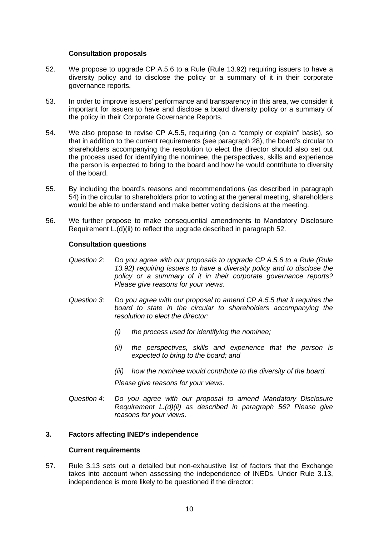#### **Consultation proposals**

- <span id="page-12-1"></span>52. We propose to upgrade CP A.5.6 to a Rule (Rule 13.92) requiring issuers to have a diversity policy and to disclose the policy or a summary of it in their corporate governance reports.
- 53. In order to improve issuers' performance and transparency in this area, we consider it important for issuers to have and disclose a board diversity policy or a summary of the policy in their Corporate Governance Reports.
- <span id="page-12-0"></span>54. We also propose to revise CP A.5.5, requiring (on a "comply or explain" basis), so that in addition to the current requirements (see paragraph [28\)](#page-8-0), the board's circular to shareholders accompanying the resolution to elect the director should also set out the process used for identifying the nominee, the perspectives, skills and experience the person is expected to bring to the board and how he would contribute to diversity of the board.
- 55. By including the board's reasons and recommendations (as described in paragraph [54\)](#page-12-0) in the circular to shareholders prior to voting at the general meeting, shareholders would be able to understand and make better voting decisions at the meeting.
- <span id="page-12-2"></span>56. We further propose to make consequential amendments to Mandatory Disclosure Requirement L.(d)(ii) to reflect the upgrade described in paragraph [52.](#page-12-1)

## **Consultation questions**

- *Question 2: Do you agree with our proposals to upgrade CP A.5.6 to a Rule (Rule 13.92) requiring issuers to have a diversity policy and to disclose the policy or a summary of it in their corporate governance reports? Please give reasons for your views.*
- *Question 3: Do you agree with our proposal to amend CP A.5.5 that it requires the board to state in the circular to shareholders accompanying the resolution to elect the director:* 
	- *(i) the process used for identifying the nominee;*
	- *(ii) the perspectives, skills and experience that the person is expected to bring to the board; and*
	- *(iii) how the nominee would contribute to the diversity of the board.*

*Please give reasons for your views.*

*Question 4: Do you agree with our proposal to amend Mandatory Disclosure Requirement L.(d)(ii) as described in paragraph [56?](#page-12-2) Please give reasons for your views.*

## **3. Factors affecting INED's independence**

#### **Current requirements**

57. Rule 3.13 sets out a detailed but non-exhaustive list of factors that the Exchange takes into account when assessing the independence of INEDs. Under Rule 3.13, independence is more likely to be questioned if the director: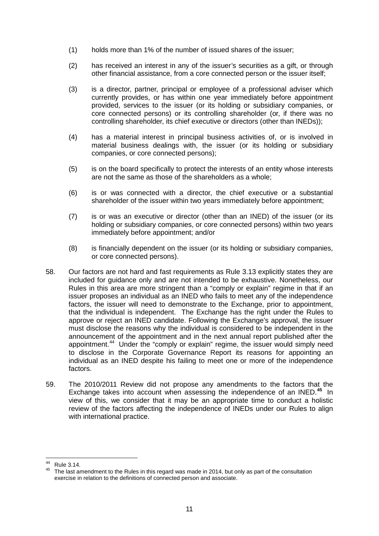- (1) holds more than 1% of the number of issued shares of the issuer;
- (2) has received an interest in any of the issuer's securities as a gift, or through other financial assistance, from a core connected person or the issuer itself;
- (3) is a director, partner, principal or employee of a professional adviser which currently provides, or has within one year immediately before appointment provided, services to the issuer (or its holding or subsidiary companies, or core connected persons) or its controlling shareholder (or, if there was no controlling shareholder, its chief executive or directors (other than INEDs));
- (4) has a material interest in principal business activities of, or is involved in material business dealings with, the issuer (or its holding or subsidiary companies, or core connected persons);
- (5) is on the board specifically to protect the interests of an entity whose interests are not the same as those of the shareholders as a whole;
- (6) is or was connected with a director, the chief executive or a substantial shareholder of the issuer within two years immediately before appointment;
- (7) is or was an executive or director (other than an INED) of the issuer (or its holding or subsidiary companies, or core connected persons) within two years immediately before appointment; and/or
- (8) is financially dependent on the issuer (or its holding or subsidiary companies, or core connected persons).
- 58. Our factors are not hard and fast requirements as Rule 3.13 explicitly states they are included for guidance only and are not intended to be exhaustive. Nonetheless, our Rules in this area are more stringent than a "comply or explain" regime in that if an issuer proposes an individual as an INED who fails to meet any of the independence factors, the issuer will need to demonstrate to the Exchange, prior to appointment, that the individual is independent. The Exchange has the right under the Rules to approve or reject an INED candidate. Following the Exchange's approval, the issuer must disclose the reasons why the individual is considered to be independent in the announcement of the appointment and in the next annual report published after the appointment.<sup>44</sup> Under the "comply or explain" regime, the issuer would simply need to disclose in the Corporate Governance Report its reasons for appointing an individual as an INED despite his failing to meet one or more of the independence factors.
- 59. The 2010/2011 Review did not propose any amendments to the factors that the Exchange takes into account when assessing the independence of an INED.**[45](#page-13-1)** In view of this, we consider that it may be an appropriate time to conduct a holistic review of the factors affecting the independence of INEDs under our Rules to align with international practice.

<span id="page-13-1"></span><span id="page-13-0"></span><sup>&</sup>lt;sup>44</sup> Rule 3.14.<br><sup>45</sup> The last amendment to the Rules in this regard was made in 2014, but only as part of the consultation exercise in relation to the definitions of connected person and associate.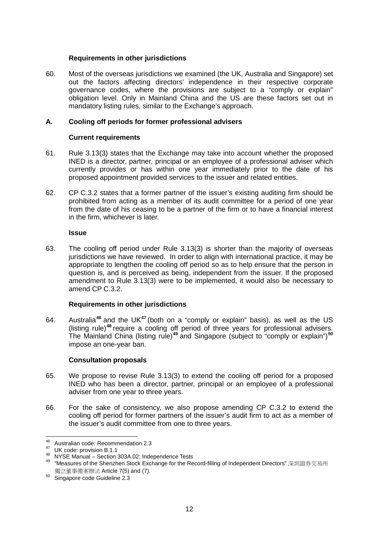## **Requirements in other jurisdictions**

60. Most of the overseas jurisdictions we examined (the UK, Australia and Singapore) set out the factors affecting directors' independence in their respective corporate governance codes, where the provisions are subject to a "comply or explain" obligation level. Only in Mainland China and the US are these factors set out in mandatory listing rules, similar to the Exchange's approach.

# **A. Cooling off periods for former professional advisers**

## **Current requirements**

- 61. Rule 3.13(3) states that the Exchange may take into account whether the proposed INED is a director, partner, principal or an employee of a professional adviser which currently provides or has within one year immediately prior to the date of his proposed appointment provided services to the issuer and related entities.
- <span id="page-14-0"></span>62. CP C.3.2 states that a former partner of the issuer's existing auditing firm should be prohibited from acting as a member of its audit committee for a period of one year from the date of his ceasing to be a partner of the firm or to have a financial interest in the firm, whichever is later.

#### **Issue**

63. The cooling off period under Rule 3.13(3) is shorter than the majority of overseas jurisdictions we have reviewed. In order to align with international practice, it may be appropriate to lengthen the cooling off period so as to help ensure that the person in question is, and is perceived as being, independent from the issuer. If the proposed amendment to Rule 3.13(3) were to be implemented, it would also be necessary to amend CP C.3.2.

## **Requirements in other jurisdictions**

64. Australia**[46](#page-14-1)** and the UK**[47](#page-14-2)** (both on a "comply or explain" basis), as well as the US (listing rule)**[48](#page-14-3)** require a cooling off period of three years for professional advisers. The Mainland China (listing rule)**[49](#page-14-4)** and Singapore (subject to "comply or explain")**[50](#page-14-5)** impose an one-year ban.

#### **Consultation proposals**

- 65. We propose to revise Rule 3.13(3) to extend the cooling off period for a proposed INED who has been a director, partner, principal or an employee of a professional adviser from one year to three years.
- 66. For the sake of consistency, we also propose amending CP C.3.2 to extend the cooling off period for former partners of the issuer's audit firm to act as a member of the issuer's audit committee from one to three years.

<span id="page-14-4"></span><span id="page-14-3"></span>

<span id="page-14-2"></span><span id="page-14-1"></span><sup>46</sup> Australian code: Recommendation 2.3<br><sup>47</sup> UK code: provision B.1.1<br><sup>48</sup> NYSE Manual – Section 303A.02: Independence Tests<br><sup>49</sup> "Measures of the Shenzhen Stock Exchange for the Record-filling of Independent Directors" 深圳 獨立董事備案辦法 Article 7(5) and (7).

<span id="page-14-5"></span><sup>50</sup> Singapore code Guideline 2.3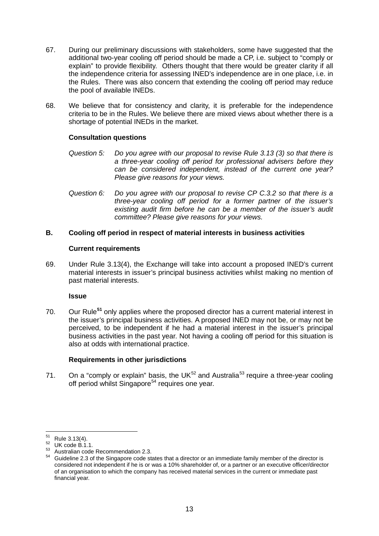- 67. During our preliminary discussions with stakeholders, some have suggested that the additional two-year cooling off period should be made a CP, i.e. subject to "comply or explain" to provide flexibility. Others thought that there would be greater clarity if all the independence criteria for assessing INED's independence are in one place, i.e. in the Rules. There was also concern that extending the cooling off period may reduce the pool of available INEDs.
- 68. We believe that for consistency and clarity, it is preferable for the independence criteria to be in the Rules. We believe there are mixed views about whether there is a shortage of potential INEDs in the market.

## **Consultation questions**

- *Question 5: Do you agree with our proposal to revise Rule 3.13 (3) so that there is a three-year cooling off period for professional advisers before they can be considered independent, instead of the current one year? Please give reasons for your views.*
- *Question 6: Do you agree with our proposal to revise CP C.3.2 so that there is a three-year cooling off period for a former partner of the issuer's existing audit firm before he can be a member of the issuer's audit committee? Please give reasons for your views.*

# **B. Cooling off period in respect of material interests in business activities**

## **Current requirements**

69. Under Rule 3.13(4), the Exchange will take into account a proposed INED's current material interests in issuer's principal business activities whilst making no mention of past material interests.

## **Issue**

<span id="page-15-4"></span>70. Our Rule**[51](#page-15-0)** only applies where the proposed director has a current material interest in the issuer's principal business activities. A proposed INED may not be, or may not be perceived, to be independent if he had a material interest in the issuer's principal business activities in the past year. Not having a cooling off period for this situation is also at odds with international practice.

## **Requirements in other jurisdictions**

71. On a "comply or explain" basis, the UK $^{52}$  $^{52}$  $^{52}$  and Australia<sup>[53](#page-15-2)</sup> require a three-year cooling off period whilst Singapore<sup>[54](#page-15-3)</sup> requires one year.

<span id="page-15-3"></span><span id="page-15-2"></span>

<span id="page-15-1"></span><span id="page-15-0"></span><sup>&</sup>lt;sup>51</sup> Rule 3.13(4).<br><sup>52</sup> UK code B.1.1.<br><sup>53</sup> Australian code Recommendation 2.3.<br><sup>54</sup> Guideline 2.3 of the Singapore code states that a director or an immediate family member of the director is considered not independent if he is or was a 10% shareholder of, or a partner or an executive officer/director of an organisation to which the company has received material services in the current or immediate past financial year.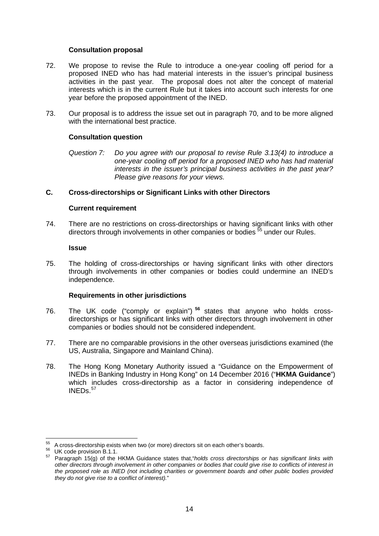#### **Consultation proposal**

- 72. We propose to revise the Rule to introduce a one-year cooling off period for a proposed INED who has had material interests in the issuer's principal business activities in the past year. The proposal does not alter the concept of material interests which is in the current Rule but it takes into account such interests for one year before the proposed appointment of the INED.
- 73. Our proposal is to address the issue set out in paragraph [70,](#page-15-4) and to be more aligned with the international best practice.

#### **Consultation question**

*Question 7: Do you agree with our proposal to revise Rule 3.13(4) to introduce a one-year cooling off period for a proposed INED who has had material interests in the issuer's principal business activities in the past year? Please give reasons for your views.*

# **C. Cross-directorships or Significant Links with other Directors**

#### **Current requirement**

74. There are no restrictions on cross-directorships or having significant links with other directors through involvements in other companies or bodies<sup>[55](#page-16-0)</sup> under our Rules.

#### **Issue**

75. The holding of cross-directorships or having significant links with other directors through involvements in other companies or bodies could undermine an INED's independence.

#### **Requirements in other jurisdictions**

- 76. The UK code ("comply or explain") **[56](#page-16-1)** states that anyone who holds crossdirectorships or has significant links with other directors through involvement in other companies or bodies should not be considered independent.
- 77. There are no comparable provisions in the other overseas jurisdictions examined (the US, Australia, Singapore and Mainland China).
- 78. The Hong Kong Monetary Authority issued a "Guidance on the Empowerment of INEDs in Banking Industry in Hong Kong" on 14 December 2016 ("**HKMA Guidance**") which includes cross-directorship as a factor in considering independence of  $INEDs.<sup>57</sup>$  $INEDs.<sup>57</sup>$  $INEDs.<sup>57</sup>$

<span id="page-16-2"></span><span id="page-16-1"></span><span id="page-16-0"></span><sup>&</sup>lt;sup>55</sup> A cross-directorship exists when two (or more) directors sit on each other's boards.<br><sup>56</sup> UK code provision B.1.1.<br><sup>57</sup> Paragraph 15(g) of the HKMA Guidance states that, *holds cross directorships or has significant other directors through involvement in other companies or bodies that could give rise to conflicts of interest in the proposed role as INED (not including charities or government boards and other public bodies provided they do not give rise to a conflict of interest).*"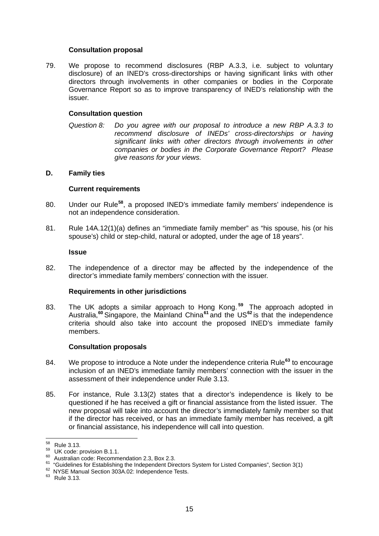#### **Consultation proposal**

79. We propose to recommend disclosures (RBP A.3.3, i.e. subject to voluntary disclosure) of an INED's cross-directorships or having significant links with other directors through involvements in other companies or bodies in the Corporate Governance Report so as to improve transparency of INED's relationship with the issuer.

#### **Consultation question**

*Question 8: Do you agree with our proposal to introduce a new RBP A.3.3 to recommend disclosure of INEDs' cross-directorships or having significant links with other directors through involvements in other companies or bodies in the Corporate Governance Report? Please give reasons for your views.*

#### **D. Family ties**

#### **Current requirements**

- 80. Under our Rule**[58](#page-17-0)**, a proposed INED's immediate family members' independence is not an independence consideration.
- 81. Rule 14A.12(1)(a) defines an "immediate family member" as "his spouse, his (or his spouse's) child or step-child, natural or adopted, under the age of 18 years".

#### <span id="page-17-6"></span>**Issue**

82. The independence of a director may be affected by the independence of the director's immediate family members' connection with the issuer.

#### **Requirements in other jurisdictions**

83. The UK adopts a similar approach to Hong Kong. **[59](#page-17-1)** The approach adopted in Australia,**[60](#page-17-2)** Singapore, the Mainland China**[61](#page-17-3)** and the US**[62](#page-17-4)** is that the independence criteria should also take into account the proposed INED's immediate family members.

#### **Consultation proposals**

- 84. We propose to introduce a Note under the independence criteria Rule**[63](#page-17-5)** to encourage inclusion of an INED's immediate family members' connection with the issuer in the assessment of their independence under Rule 3.13.
- 85. For instance, Rule 3.13(2) states that a director's independence is likely to be questioned if he has received a gift or financial assistance from the listed issuer. The new proposal will take into account the director's immediately family member so that if the director has received, or has an immediate family member has received, a gift or financial assistance, his independence will call into question.

<span id="page-17-2"></span>

<span id="page-17-1"></span><span id="page-17-0"></span><sup>&</sup>lt;sup>58</sup> Rule 3.13.<br><sup>59</sup> UK code: provision B.1.1.<br><sup>60</sup> Australian code: Recommendation 2.3, Box 2.3.<br><sup>61</sup> "Guidelines for Establishing the Independent Directors System for Listed Companies", Section 3(1)<br><sup>62</sup> NYSE Manual Sec

<span id="page-17-4"></span><span id="page-17-3"></span>

<span id="page-17-5"></span>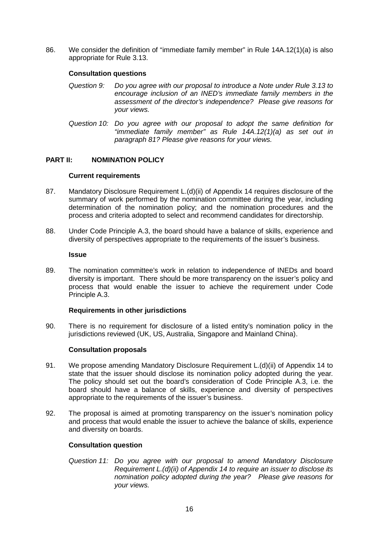86. We consider the definition of "immediate family member" in Rule 14A.12(1)(a) is also appropriate for Rule 3.13.

## **Consultation questions**

- *Question 9: Do you agree with our proposal to introduce a Note under Rule 3.13 to encourage inclusion of an INED's immediate family members in the assessment of the director's independence? Please give reasons for your views.*
- *Question 10: Do you agree with our proposal to adopt the same definition for "immediate family member" as Rule 14A.12(1)(a) as set out in paragraph [81?](#page-17-6) Please give reasons for your views.*

## **PART II: NOMINATION POLICY**

#### **Current requirements**

- 87. Mandatory Disclosure Requirement L.(d)(ii) of Appendix 14 requires disclosure of the summary of work performed by the nomination committee during the year, including determination of the nomination policy; and the nomination procedures and the process and criteria adopted to select and recommend candidates for directorship.
- 88. Under Code Principle A.3, the board should have a balance of skills, experience and diversity of perspectives appropriate to the requirements of the issuer's business.

#### **Issue**

89. The nomination committee's work in relation to independence of INEDs and board diversity is important. There should be more transparency on the issuer's policy and process that would enable the issuer to achieve the requirement under Code Principle A.3.

## **Requirements in other jurisdictions**

90. There is no requirement for disclosure of a listed entity's nomination policy in the jurisdictions reviewed (UK, US, Australia, Singapore and Mainland China).

#### **Consultation proposals**

- 91. We propose amending Mandatory Disclosure Requirement L.(d)(ii) of Appendix 14 to state that the issuer should disclose its nomination policy adopted during the year. The policy should set out the board's consideration of Code Principle A.3, i.e. the board should have a balance of skills, experience and diversity of perspectives appropriate to the requirements of the issuer's business.
- 92. The proposal is aimed at promoting transparency on the issuer's nomination policy and process that would enable the issuer to achieve the balance of skills, experience and diversity on boards.

## **Consultation question**

*Question 11: Do you agree with our proposal to amend Mandatory Disclosure Requirement L.(d)(ii) of Appendix 14 to require an issuer to disclose its nomination policy adopted during the year? Please give reasons for your views.*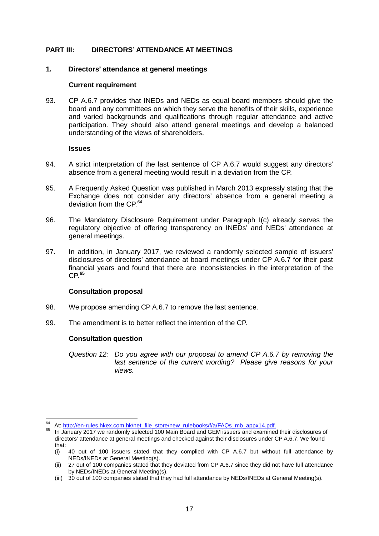# **PART III: DIRECTORS' ATTENDANCE AT MEETINGS**

### **1. Directors' attendance at general meetings**

#### **Current requirement**

<span id="page-19-0"></span>93. CP A.6.7 provides that INEDs and NEDs as equal board members should give the board and any committees on which they serve the benefits of their skills, experience and varied backgrounds and qualifications through regular attendance and active participation. They should also attend general meetings and develop a balanced understanding of the views of shareholders.

#### **Issues**

- 94. A strict interpretation of the last sentence of CP A.6.7 would suggest any directors' absence from a general meeting would result in a deviation from the CP.
- 95. A Frequently Asked Question was published in March 2013 expressly stating that the Exchange does not consider any directors' absence from a general meeting a deviation from the CP.<sup>[64](#page-19-1)</sup>
- 96. The Mandatory Disclosure Requirement under Paragraph I(c) already serves the regulatory objective of offering transparency on INEDs' and NEDs' attendance at general meetings.
- 97. In addition, in January 2017, we reviewed a randomly selected sample of issuers' disclosures of directors' attendance at board meetings under CP A.6.7 for their past financial years and found that there are inconsistencies in the interpretation of the CP.**[65](#page-19-2)**

## **Consultation proposal**

- 98. We propose amending CP A.6.7 to remove the last sentence.
- 99. The amendment is to better reflect the intention of the CP.

## **Consultation question**

*Question 12: Do you agree with our proposal to amend CP A.6.7 by removing the last sentence of the current wording? Please give reasons for your views.*

<span id="page-19-2"></span><span id="page-19-1"></span><sup>&</sup>lt;sup>64</sup> At: [http://en-rules.hkex.com.hk/net\\_file\\_store/new\\_rulebooks/f/a/FAQs\\_mb\\_appx14.pdf.](http://en-rules.hkex.com.hk/net_file_store/new_rulebooks/f/a/FAQs_mb_appx14.pdf) 65 In January 2017 we randomly selected 100 Main Board and GEM issuers and examined their disclosures of

directors' attendance at general meetings and checked against their disclosures under CP A.6.7. We found that:

<sup>(</sup>i) 40 out of 100 issuers stated that they complied with CP A.6.7 but without full attendance by NEDs/INEDs at General Meeting(s).

<sup>(</sup>ii) 27 out of 100 companies stated that they deviated from CP A.6.7 since they did not have full attendance by NEDs/INEDs at General Meeting(s).

<sup>(</sup>iii) 30 out of 100 companies stated that they had full attendance by NEDs/INEDs at General Meeting(s).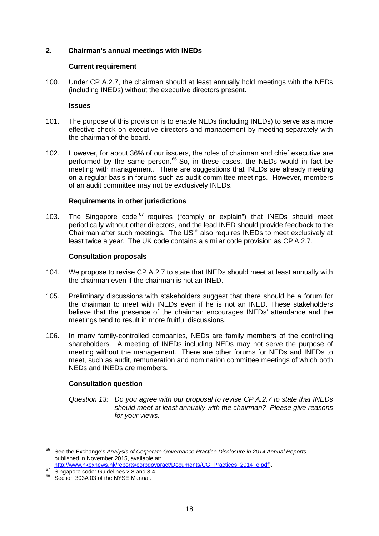## **2. Chairman's annual meetings with INEDs**

#### **Current requirement**

<span id="page-20-0"></span>100. Under CP A.2.7, the chairman should at least annually hold meetings with the NEDs (including INEDs) without the executive directors present.

#### **Issues**

- 101. The purpose of this provision is to enable NEDs (including INEDs) to serve as a more effective check on executive directors and management by meeting separately with the chairman of the board.
- 102. However, for about 36% of our issuers, the roles of chairman and chief executive are performed by the same person.<sup>[66](#page-20-1)</sup> So, in these cases, the NEDs would in fact be meeting with management. There are suggestions that INEDs are already meeting on a regular basis in forums such as audit committee meetings. However, members of an audit committee may not be exclusively INEDs.

#### **Requirements in other jurisdictions**

103. The Singapore code  $67$  requires ("comply or explain") that INEDs should meet periodically without other directors, and the lead INED should provide feedback to the Chairman after such meetings. The US[68](#page-20-3) also requires INEDs to meet exclusively at least twice a year. The UK code contains a similar code provision as CP A.2.7.

#### **Consultation proposals**

- 104. We propose to revise CP A.2.7 to state that INEDs should meet at least annually with the chairman even if the chairman is not an INED.
- 105. Preliminary discussions with stakeholders suggest that there should be a forum for the chairman to meet with INEDs even if he is not an INED. These stakeholders believe that the presence of the chairman encourages INEDs' attendance and the meetings tend to result in more fruitful discussions.
- 106. In many family-controlled companies, NEDs are family members of the controlling shareholders. A meeting of INEDs including NEDs may not serve the purpose of meeting without the management. There are other forums for NEDs and INEDs to meet, such as audit, remuneration and nomination committee meetings of which both NEDs and INEDs are members.

## **Consultation question**

*Question 13: Do you agree with our proposal to revise CP A.2.7 to state that INEDs should meet at least annually with the chairman? Please give reasons for your views.*

<span id="page-20-1"></span><sup>66</sup> See the Exchange's *Analysis of Corporate Governance Practice Disclosure in 2014 Annual Reports*, published in November 2015, available at:<br>http://www.hkexnews.hk/reports/corpgovpract/Documents/CG Practices 2014 e.pdf).

<span id="page-20-3"></span><span id="page-20-2"></span><sup>67</sup> Singapore code: Guidelines 2.8 and 3.4.<br>68 Section 303A 03 of the NYSE Manual.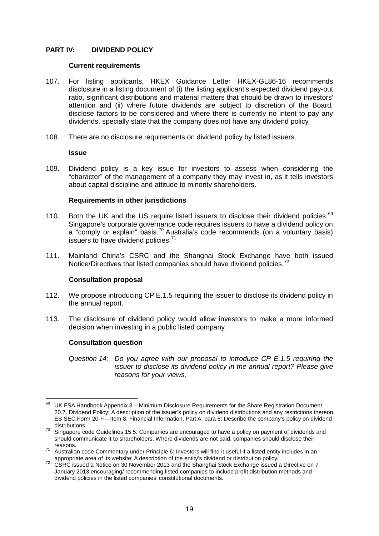# **PART IV: DIVIDEND POLICY**

#### **Current requirements**

- 107. For listing applicants, HKEX Guidance Letter HKEX-GL86-16 recommends disclosure in a listing document of (i) the listing applicant's expected dividend pay-out ratio, significant distributions and material matters that should be drawn to investors' attention and (ii) where future dividends are subject to discretion of the Board, disclose factors to be considered and where there is currently no intent to pay any dividends, specially state that the company does not have any dividend policy.
- 108. There are no disclosure requirements on dividend policy by listed issuers.

#### **Issue**

109. Dividend policy is a key issue for investors to assess when considering the "character" of the management of a company they may invest in, as it tells investors about capital discipline and attitude to minority shareholders.

## **Requirements in other jurisdictions**

- 110. Both the UK and the US require listed issuers to disclose their dividend policies.<sup>[69](#page-21-0)</sup> Singapore's corporate governance code requires issuers to have a dividend policy on a "comply or explain" basis.<sup>[70](#page-21-1)</sup> Australia's code recommends (on a voluntary basis) issuers to have dividend policies. $71$
- 111. Mainland China's CSRC and the Shanghai Stock Exchange have both issued Notice/Directives that listed companies should have dividend policies.<sup>[72](#page-21-3)</sup>

## **Consultation proposal**

- 112. We propose introducing CP E.1.5 requiring the issuer to disclose its dividend policy in the annual report.
- 113. The disclosure of dividend policy would allow investors to make a more informed decision when investing in a public listed company.

## **Consultation question**

*Question 14: Do you agree with our proposal to introduce CP E.1.5 requiring the issuer to disclose its dividend policy in the annual report? Please give reasons for your views.*

<span id="page-21-0"></span> $69$  UK FSA Handbook Appendix 3 – Minimum Disclosure Requirements for the Share Registration Document 20.7. Dividend Policy: A description of the issuer's policy on dividend distributions and any restrictions thereon. ES SEC Form 20-F – Item 8: Financial Information, Part A, para 8: Describe the company's policy on dividend

<span id="page-21-1"></span>distributions.<br><sup>70</sup> Singapore code Guidelines 15.5: Companies are encouraged to have a policy on payment of dividends and should communicate it to shareholders. Where dividends are not paid, companies should disclose their

<span id="page-21-2"></span>reasons. 71 Australian code Commentary under Principle 6: Investors will find it useful if a listed entity includes in an appropriate area of its website: A description of the entity's dividend or distribution policy.<br><sup>72</sup> CSRC issued a Notice on 30 November 2013 and the Shanghai Stock Exchange issued a Directive on 7

<span id="page-21-3"></span>January 2013 encouraging/ recommending listed companies to include profit distribution methods and dividend policies in the listed companies' constitutional documents.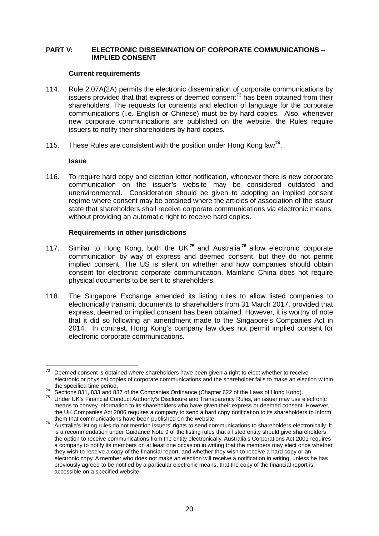## **PART V: ELECTRONIC DISSEMINATION OF CORPORATE COMMUNICATIONS – IMPLIED CONSENT**

#### **Current requirements**

- 114. Rule 2.07A(2A) permits the electronic dissemination of corporate communications by issuers provided that that express or deemed consent<sup>[73](#page-22-0)</sup> has been obtained from their shareholders. The requests for consents and election of language for the corporate communications (i.e. English or Chinese) must be by hard copies. Also, whenever new corporate communications are published on the website, the Rules require issuers to notify their shareholders by hard copies.
- 115. These Rules are consistent with the position under Hong Kong law<sup>[74](#page-22-1)</sup>.

#### **Issue**

116. To require hard copy and election letter notification, whenever there is new corporate communication on the issuer's website may be considered outdated and unenvironmental. Consideration should be given to adopting an implied consent regime where consent may be obtained where the articles of association of the issuer state that shareholders shall receive corporate communications via electronic means, without providing an automatic right to receive hard copies.

## **Requirements in other jurisdictions**

- 117. Similar to Hong Kong, both the UK **[75](#page-22-2)** and Australia **[76](#page-22-3)** allow electronic corporate communication by way of express and deemed consent, but they do not permit implied consent. The US is silent on whether and how companies should obtain consent for electronic corporate communication. Mainland China does not require physical documents to be sent to shareholders.
- 118. The Singapore Exchange amended its listing rules to allow listed companies to electronically transmit documents to shareholders from 31 March 2017, provided that express, deemed or implied consent has been obtained. However, it is worthy of note that it did so following an amendment made to the Singapore's Companies Act in 2014. In contrast, Hong Kong's company law does not permit implied consent for electronic corporate communications.

<span id="page-22-0"></span> $73$  Deemed consent is obtained where shareholders have been given a right to elect whether to receive electronic or physical copies of corporate communications and the shareholder fails to make an election within

<span id="page-22-2"></span><span id="page-22-1"></span>The specified time period.<br><sup>74</sup> Sections 831, 833 and 837 of the Companies Ordinance (Chapter 622 of the Laws of Hong Kong).<br><sup>75</sup> Under UK's Financial Conduct Authority's Disclosure and Transparency Rules, an issuer may us means to convey information to its shareholders who have given their express or deemed consent. However, the UK Companies Act 2006 requires a company to send a hard copy notification to its shareholders to inform them that communications have been published on the website.

<span id="page-22-3"></span>them that communications have been published on the website. <sup>76</sup> Australia's listing rules do not mention issuers' rights to send communications to shareholders electronically. It is a recommendation under Guidance Note 9 of the listing rules that a listed entity should give shareholders the option to receive communications from the entity electronically. Australia's Corporations Act 2001 requires a company to notify its members on at least one occasion in writing that the members may elect once whether they wish to receive a copy of the financial report, and whether they wish to receive a hard copy or an electronic copy. A member who does not make an election will receive a notification in writing, unless he has previously agreed to be notified by a particular electronic means, that the copy of the financial report is accessible on a specified website.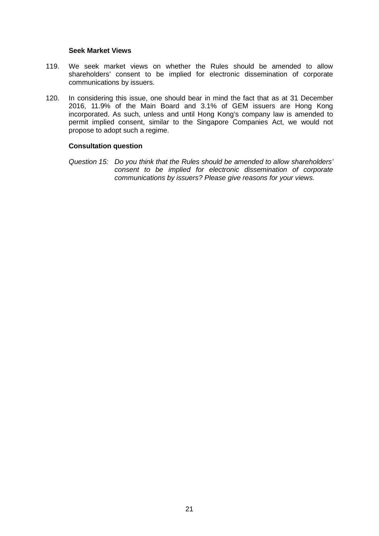#### **Seek Market Views**

- 119. We seek market views on whether the Rules should be amended to allow shareholders' consent to be implied for electronic dissemination of corporate communications by issuers.
- 120. In considering this issue, one should bear in mind the fact that as at 31 December 2016, 11.9% of the Main Board and 3.1% of GEM issuers are Hong Kong incorporated. As such, unless and until Hong Kong's company law is amended to permit implied consent, similar to the Singapore Companies Act, we would not propose to adopt such a regime.

#### **Consultation question**

*Question 15: Do you think that the Rules should be amended to allow shareholders' consent to be implied for electronic dissemination of corporate communications by issuers? Please give reasons for your views.*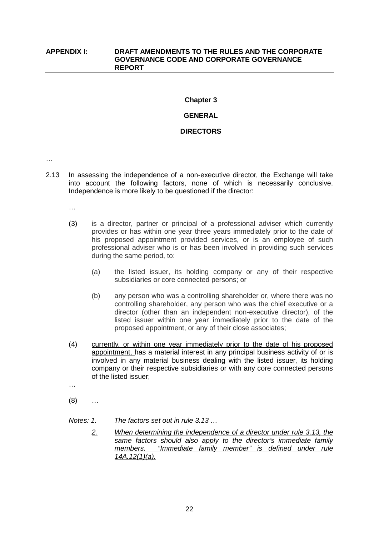## **APPENDIX I: DRAFT AMENDMENTS TO THE RULES AND THE CORPORATE GOVERNANCE CODE AND CORPORATE GOVERNANCE REPORT**

# **Chapter 3**

# **GENERAL**

#### **DIRECTORS**

…

2.13 In assessing the independence of a non-executive director, the Exchange will take into account the following factors, none of which is necessarily conclusive. Independence is more likely to be questioned if the director:

…

- (3) is a director, partner or principal of a professional adviser which currently provides or has within one year three years immediately prior to the date of his proposed appointment provided services, or is an employee of such professional adviser who is or has been involved in providing such services during the same period, to:
	- (a) the listed issuer, its holding company or any of their respective subsidiaries or core connected persons; or
	- (b) any person who was a controlling shareholder or, where there was no controlling shareholder, any person who was the chief executive or a director (other than an independent non-executive director), of the listed issuer within one year immediately prior to the date of the proposed appointment, or any of their close associates;
- (4) currently, or within one year immediately prior to the date of his proposed appointment, has a material interest in any principal business activity of or is involved in any material business dealing with the listed issuer, its holding company or their respective subsidiaries or with any core connected persons of the listed issuer;
- …
- (8) …

*Notes: 1. The factors set out in rule 3.13 …*

*2. When determining the independence of a director under rule 3.13, the same factors should also apply to the director's immediate family members. "Immediate family member" is defined under rule 14A.12(1)(a).*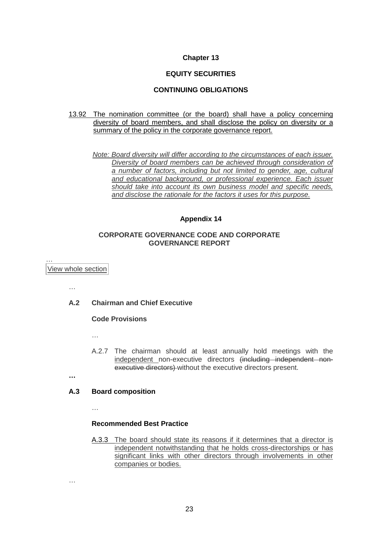### **Chapter 13**

## **EQUITY SECURITIES**

### **CONTINUING OBLIGATIONS**

#### 13.92 The nomination committee (or the board) shall have a policy concerning diversity of board members, and shall disclose the policy on diversity or a summary of the policy in the corporate governance report.

*Note: Board diversity will differ according to the circumstances of each issuer. Diversity of board members can be achieved through consideration of a number of factors, including but not limited to gender, age, cultural and educational background, or professional experience. Each issuer should take into account its own business model and specific needs, and disclose the rationale for the factors it uses for this purpose.*

#### **Appendix 14**

### **CORPORATE GOVERNANCE CODE AND CORPORATE GOVERNANCE REPORT**

… View whole [section](http://en-rules.hkex.com.hk/en/display/display_viewall.html?rbid=4476&element_id=3828)

…

## **A.2 Chairman and Chief Executive**

#### **Code Provisions**

…

A.2.7 The chairman should at least annually hold meetings with the independent non-executive directors (including independent nonexecutive directors) without the executive directors present.

**…**

…

#### **A.3 Board composition**

…

#### **Recommended Best Practice**

A.3.3 The board should state its reasons if it determines that a director is independent notwithstanding that he holds cross-directorships or has significant links with other directors through involvements in other companies or bodies.

23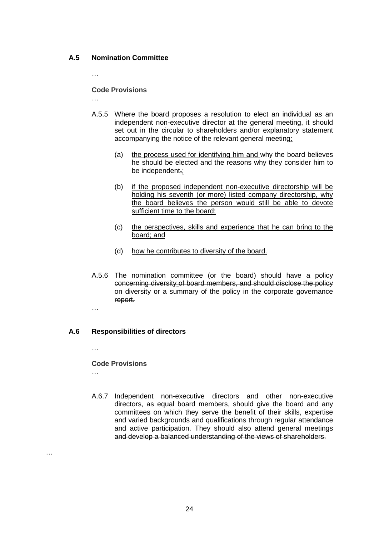# **A.5 Nomination Committee**

…

…

### **Code Provisions**

- A.5.5 Where the board proposes a resolution to elect an individual as an independent non-executive director at the general meeting, it should set out in the circular to shareholders and/or explanatory statement accompanying the notice of the relevant general meeting:
	- (a) the process used for identifying him and why the board believes he should be elected and the reasons why they consider him to be independent.;
	- (b) if the proposed independent non-executive directorship will be holding his seventh (or more) listed company directorship, why the board believes the person would still be able to devote sufficient time to the board;
	- (c) the perspectives, skills and experience that he can bring to the board; and
	- (d) how he contributes to diversity of the board.
- A.5.6 The nomination committee (or the board) should have a policy concerning diversity of board members, and should disclose the policy on diversity or a summary of the policy in the corporate governance report.

…

# **A.6 Responsibilities of directors**

…

…

## **Code Provisions**

A.6.7 Independent non-executive directors and other non-executive directors, as equal board members, should give the board and any committees on which they serve the benefit of their skills, expertise and varied backgrounds and qualifications through regular attendance and active participation. They should also attend general meetings and develop a balanced understanding of the views of shareholders.

…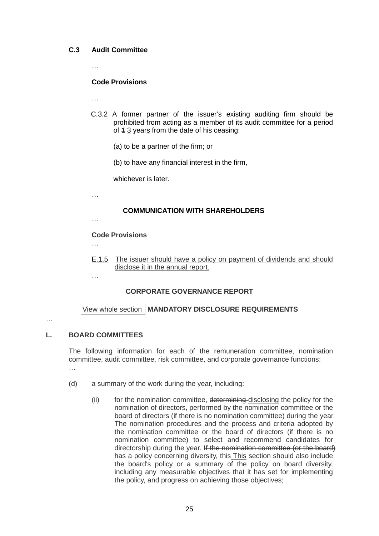# **C.3 Audit Committee**

…

#### **Code Provisions**

…

- C.3.2 A former partner of the issuer's existing auditing firm should be prohibited from acting as a member of its audit committee for a period of 4 3 years from the date of his ceasing:
	- (a) to be a partner of the firm; or
	- (b) to have any financial interest in the firm,

whichever is later.

…

# **COMMUNICATION WITH SHAREHOLDERS**

…

## **Code Provisions**

…

E.1.5 The issuer should have a policy on payment of dividends and should disclose it in the annual report.

…

# **CORPORATE GOVERNANCE REPORT**

View whole [section](http://en-rules.hkex.com.hk/en/display/display_viewall.html?rbid=4476&element_id=4974) **MANDATORY DISCLOSURE REQUIREMENTS**

…

# **L. BOARD COMMITTEES**

The following information for each of the remuneration committee, nomination committee, audit committee, risk committee, and corporate governance functions: …

- (d) a summary of the work during the year, including:
	- (ii) for the nomination committee, determining disclosing the policy for the nomination of directors, performed by the nomination committee or the board of directors (if there is no nomination committee) during the year. The nomination procedures and the process and criteria adopted by the nomination committee or the board of directors (if there is no nomination committee) to select and recommend candidates for directorship during the year. If the nomination committee (or the board) has a policy concerning diversity, this This section should also include the board's policy or a summary of the policy on board diversity, including any measurable objectives that it has set for implementing the policy, and progress on achieving those objectives;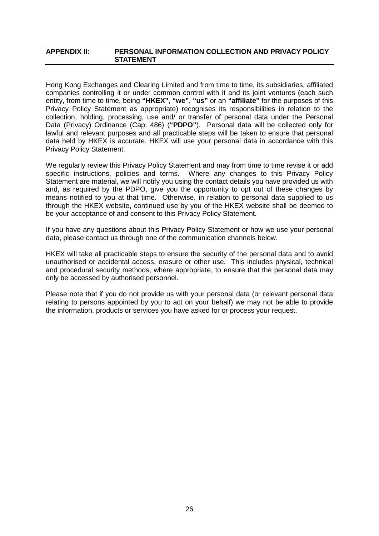### **APPENDIX II: PERSONAL INFORMATION COLLECTION AND PRIVACY POLICY STATEMENT**

Hong Kong Exchanges and Clearing Limited and from time to time, its subsidiaries, affiliated companies controlling it or under common control with it and its joint ventures (each such entity, from time to time, being **"HKEX"**, **"we"**, **"us"** or an **"affiliate"** for the purposes of this Privacy Policy Statement as appropriate) recognises its responsibilities in relation to the collection, holding, processing, use and/ or transfer of personal data under the Personal Data (Privacy) Ordinance (Cap. 486) (**"PDPO"**). Personal data will be collected only for lawful and relevant purposes and all practicable steps will be taken to ensure that personal data held by HKEX is accurate. HKEX will use your personal data in accordance with this Privacy Policy Statement.

We regularly review this Privacy Policy Statement and may from time to time revise it or add specific instructions, policies and terms. Where any changes to this Privacy Policy Statement are material, we will notify you using the contact details you have provided us with and, as required by the PDPO, give you the opportunity to opt out of these changes by means notified to you at that time. Otherwise, in relation to personal data supplied to us through the HKEX website, continued use by you of the HKEX website shall be deemed to be your acceptance of and consent to this Privacy Policy Statement.

If you have any questions about this Privacy Policy Statement or how we use your personal data, please contact us through one of the communication channels below.

HKEX will take all practicable steps to ensure the security of the personal data and to avoid unauthorised or accidental access, erasure or other use. This includes physical, technical and procedural security methods, where appropriate, to ensure that the personal data may only be accessed by authorised personnel.

Please note that if you do not provide us with your personal data (or relevant personal data relating to persons appointed by you to act on your behalf) we may not be able to provide the information, products or services you have asked for or process your request.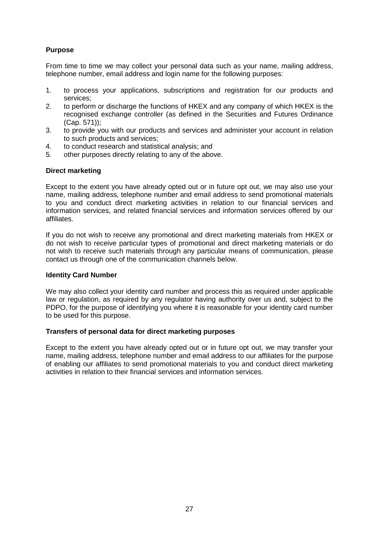# **Purpose**

From time to time we may collect your personal data such as your name, mailing address, telephone number, email address and login name for the following purposes:

- 1. to process your applications, subscriptions and registration for our products and services;
- 2. to perform or discharge the functions of HKEX and any company of which HKEX is the recognised exchange controller (as defined in the Securities and Futures Ordinance (Cap. 571));
- 3. to provide you with our products and services and administer your account in relation to such products and services;
- 4. to conduct research and statistical analysis; and
- 5. other purposes directly relating to any of the above.

## **Direct marketing**

Except to the extent you have already opted out or in future opt out, we may also use your name, mailing address, telephone number and email address to send promotional materials to you and conduct direct marketing activities in relation to our financial services and information services, and related financial services and information services offered by our affiliates.

If you do not wish to receive any promotional and direct marketing materials from HKEX or do not wish to receive particular types of promotional and direct marketing materials or do not wish to receive such materials through any particular means of communication, please contact us through one of the communication channels below.

#### **Identity Card Number**

We may also collect your identity card number and process this as required under applicable law or regulation, as required by any regulator having authority over us and, subject to the PDPO, for the purpose of identifying you where it is reasonable for your identity card number to be used for this purpose.

## **Transfers of personal data for direct marketing purposes**

Except to the extent you have already opted out or in future opt out, we may transfer your name, mailing address, telephone number and email address to our affiliates for the purpose of enabling our affiliates to send promotional materials to you and conduct direct marketing activities in relation to their financial services and information services.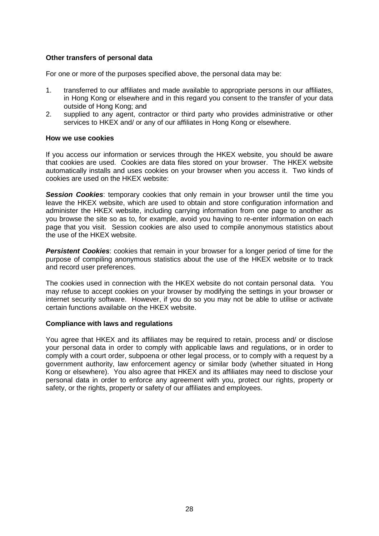# **Other transfers of personal data**

For one or more of the purposes specified above, the personal data may be:

- 1. transferred to our affiliates and made available to appropriate persons in our affiliates, in Hong Kong or elsewhere and in this regard you consent to the transfer of your data outside of Hong Kong; and
- 2. supplied to any agent, contractor or third party who provides administrative or other services to HKEX and/ or any of our affiliates in Hong Kong or elsewhere.

#### **How we use cookies**

If you access our information or services through the HKEX website, you should be aware that cookies are used. Cookies are data files stored on your browser. The HKEX website automatically installs and uses cookies on your browser when you access it. Two kinds of cookies are used on the HKEX website:

**Session Cookies:** temporary cookies that only remain in your browser until the time you leave the HKEX website, which are used to obtain and store configuration information and administer the HKEX website, including carrying information from one page to another as you browse the site so as to, for example, avoid you having to re-enter information on each page that you visit. Session cookies are also used to compile anonymous statistics about the use of the HKEX website.

**Persistent Cookies:** cookies that remain in your browser for a longer period of time for the purpose of compiling anonymous statistics about the use of the HKEX website or to track and record user preferences.

The cookies used in connection with the HKEX website do not contain personal data. You may refuse to accept cookies on your browser by modifying the settings in your browser or internet security software. However, if you do so you may not be able to utilise or activate certain functions available on the HKEX website.

#### **Compliance with laws and regulations**

You agree that HKEX and its affiliates may be required to retain, process and/ or disclose your personal data in order to comply with applicable laws and regulations, or in order to comply with a court order, subpoena or other legal process, or to comply with a request by a government authority, law enforcement agency or similar body (whether situated in Hong Kong or elsewhere). You also agree that HKEX and its affiliates may need to disclose your personal data in order to enforce any agreement with you, protect our rights, property or safety, or the rights, property or safety of our affiliates and employees.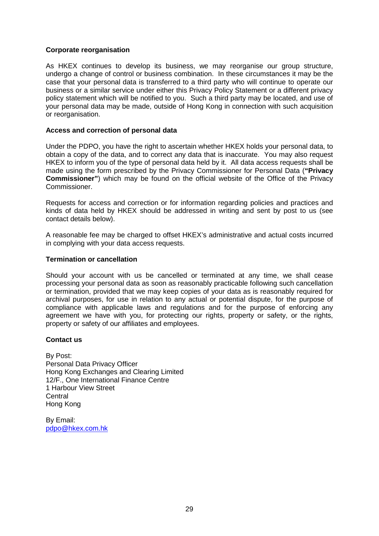# **Corporate reorganisation**

As HKEX continues to develop its business, we may reorganise our group structure, undergo a change of control or business combination. In these circumstances it may be the case that your personal data is transferred to a third party who will continue to operate our business or a similar service under either this Privacy Policy Statement or a different privacy policy statement which will be notified to you. Such a third party may be located, and use of your personal data may be made, outside of Hong Kong in connection with such acquisition or reorganisation.

### **Access and correction of personal data**

Under the PDPO, you have the right to ascertain whether HKEX holds your personal data, to obtain a copy of the data, and to correct any data that is inaccurate. You may also request HKEX to inform you of the type of personal data held by it. All data access requests shall be made using the form prescribed by the Privacy Commissioner for Personal Data (**"Privacy Commissioner"**) which may be found on the official website of the Office of the Privacy Commissioner.

Requests for access and correction or for information regarding policies and practices and kinds of data held by HKEX should be addressed in writing and sent by post to us (see contact details below).

A reasonable fee may be charged to offset HKEX's administrative and actual costs incurred in complying with your data access requests.

#### **Termination or cancellation**

Should your account with us be cancelled or terminated at any time, we shall cease processing your personal data as soon as reasonably practicable following such cancellation or termination, provided that we may keep copies of your data as is reasonably required for archival purposes, for use in relation to any actual or potential dispute, for the purpose of compliance with applicable laws and regulations and for the purpose of enforcing any agreement we have with you, for protecting our rights, property or safety, or the rights, property or safety of our affiliates and employees.

## **Contact us**

By Post: Personal Data Privacy Officer Hong Kong Exchanges and Clearing Limited 12/F., One International Finance Centre 1 Harbour View Street **Central** Hong Kong

By Email: [pdpo@hkex.com.hk](mailto:pdpo@hkex.com.hk)